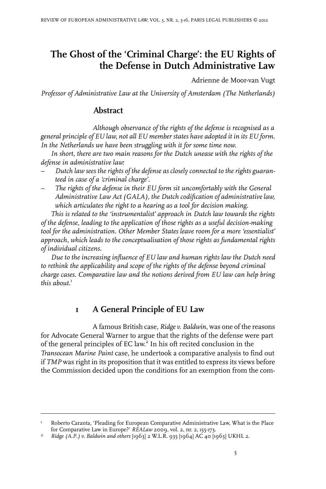# **The Ghost of the 'Criminal Charge': the EU Rights of the Defense in Dutch Administrative Law**

Adrienne de Moor-van Vugt

*Professor of Administrative Law at the University of Amsterdam (The Netherlands)*

# **Abstract**

*Although observance of the rights of the defense is recognised as a general principle of EU law, not all EU member states have adopted it in its EU form. In the Netherlands we have been struggling with it for some time now.*

*In short, there are two main reasons for the Dutch unease with the rights of the defense in administrative law:*

- *– Dutch law sees the rights of the defense as closely connected to the rights guaranteed in case of a 'criminal charge'.*
- *– The rights of the defense in their EU form sit uncomfortably with the General Administrative Law Act (GALA), the Dutch codification of administrative law, which articulates the right to a hearing as a tool for decision making.*

*This is related to the 'instrumentalist' approach in Dutch law towards the rights of the defense, leading to the application of those rights as a useful decision-making tool for the administration. Other Member States leave room for a more 'essentialist' approach, which leads to the conceptualisation of those rights as fundamental rights of individual citizens.*

*Due to the increasing influence of EU law and human rights law the Dutch need to rethink the applicability and scope of the rights of the defense beyond criminal charge cases. Comparative law and the notions derived from EU law can help bring* this about.<sup>1</sup>

# **1 A General Principle of EU Law**

A famous British case, *Ridge v. Baldwin*, was one of the reasons for Advocate General Warner to argue that the rights of the defense were part of the general principles of EC law. 2 In his oft recited conclusion in the *Transocean Marine Paint* case, he undertook a comparative analysis to find out if *TMP* was right in its proposition that it was entitled to express its views before the Commission decided upon the conditions for an exemption from the com-

Roberto Caranta, 'Pleading for European Comparative Administrative Law, What is the Place for Comparative Law in Europe?' *REALaw* 2009, vol. 2, nr. 2, 155-173. 1

*Ridge (A.P.) v. Baldwin and others* [1963] 2 W.L.R. 935 [1964] AC 40 [1963] UKHL 2. <sup>2</sup>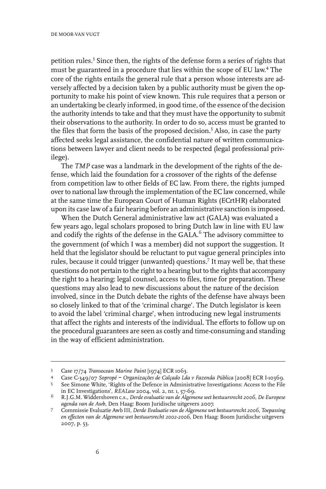petition rules.<sup>3</sup> Since then, the rights of the defense form a series of rights that must be guaranteed in a procedure that lies within the scope of EU law. 4 The core of the rights entails the general rule that a person whose interests are adversely affected by a decision taken by a public authority must be given the opportunity to make his point of view known. This rule requires that a person or an undertaking be clearly informed, in good time, of the essence of the decision the authority intends to take and that they must have the opportunity to submit their observations to the authority. In order to do so, access must be granted to the files that form the basis of the proposed decision.<sup>5</sup> Also, in case the party affected seeks legal assistance, the confidential nature of written communications between lawyer and client needs to be respected (legal professional privilege).

The *TMP* case was a landmark in the development of the rights of the defense, which laid the foundation for a crossover of the rights of the defense from competition law to other fields of EC law. From there, the rights jumped over to national law through the implementation of the EC law concerned, while at the same time the European Court of Human Rights (ECrtHR) elaborated upon its case law of a fair hearing before an administrative sanction is imposed.

When the Dutch General administrative law act (GALA) was evaluated a few years ago, legal scholars proposed to bring Dutch law in line with EU law and codify the rights of the defense in the GALA. $^6$  The advisory committee to the government (of which I was a member) did not support the suggestion. It held that the legislator should be reluctant to put vague general principles into rules, because it could trigger (unwanted) questions.<sup>7</sup> It may well be, that these questions do not pertain to the right to a hearing but to the rights that accompany the right to a hearing: legal counsel, access to files, time for preparation. These questions may also lead to new discussions about the nature of the decision involved, since in the Dutch debate the rights of the defense have always been so closely linked to that of the 'criminal charge'. The Dutch legislator is keen to avoid the label 'criminal charge', when introducing new legal instruments that affect the rights and interests of the individual. The efforts to follow up on the procedural guarantees are seen as costly and time-consuming and standing in the way of efficient administration.

<sup>&</sup>lt;sup>3</sup> Case 17/74 *Transocean Marine Paint* [1974] ECR 1063.

Case C-349/07 *Sopropé − Organizações de Calçado Lda v Fazenda Pública* [2008] ECR I-10369. <sup>4</sup>

See Simone White, 'Rights of the Defence in Administrative Investigations: Access to the File in EC Investigations', *REALaw* 2004, vol. 2, nr. 1, 57-69. 5

R.J.G.M. Widdershoven c.s., *Derdeevaluatie van de Algemene wet bestuursrecht 2006, De Europese* 6 *agenda van de Awb*, Den Haag: Boom Juridische uitgevers 2007.

Commissie Evaluatie Awb III, *Derde Evaluatie van de Algemene wet bestuursrecht 2006, Toepassing en effecten van de Algemene wet bestuursrecht 2002-2006*, Den Haag: Boom Juridische uitgevers 2007, p. 53. 7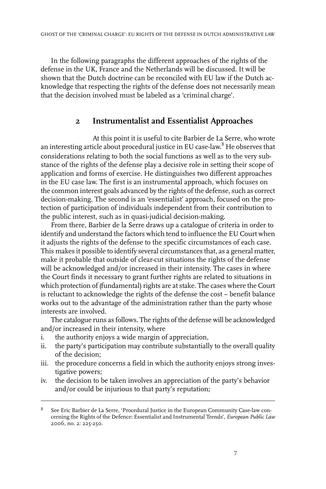In the following paragraphs the different approaches of the rights of the defense in the UK, France and the Netherlands will be discussed. It will be shown that the Dutch doctrine can be reconciled with EU law if the Dutch acknowledge that respecting the rights of the defense does not necessarily mean that the decision involved must be labeled as a 'criminal charge'.

#### **2 Instrumentalist and Essentialist Approaches**

At this point it is useful to cite Barbier de La Serre, who wrote an interesting article about procedural justice in EU case-law. <sup>8</sup> He observes that considerations relating to both the social functions as well as to the very substance of the rights of the defense play a decisive role in setting their scope of application and forms of exercise. He distinguishes two different approaches in the EU case law. The first is an instrumental approach, which focuses on the common interest goals advanced by the rights of the defense, such as correct decision-making. The second is an 'essentialist' approach, focused on the protection of participation of individuals independent from their contribution to the public interest, such as in quasi-judicial decision-making.

From there, Barbier de la Serre draws up a catalogue of criteria in order to identify and understand the factors which tend to influence the EU Court when it adjusts the rights of the defense to the specific circumstances of each case. This makes it possible to identify several circumstances that, as a general matter, make it probable that outside of clear-cut situations the rights of the defense will be acknowledged and/or increased in their intensity. The cases in where the Court finds it necessary to grant further rights are related to situations in which protection of (fundamental) rights are at stake. The cases where the Court is reluctant to acknowledge the rights of the defense the cost – benefit balance works out to the advantage of the administration rather than the party whose interests are involved.

The catalogue runs as follows. The rights of the defense will be acknowledged and/or increased in their intensity, where

- i. the authority enjoys a wide margin of appreciation,
- ii. the party's participation may contribute substantially to the overall quality of the decision;
- iii. the procedure concerns a field in which the authority enjoys strong investigative powers;
- iv. the decision to be taken involves an appreciation of the party's behavior and/or could be injurious to that party's reputation;

See Eric Barbier de La Serre, 'Procedural Justice in the European Community Case-law concerning the Rights of the Defence: Essentialist and Instrumental Trends', *European Public Law* 2006, no. 2: 225-250. 8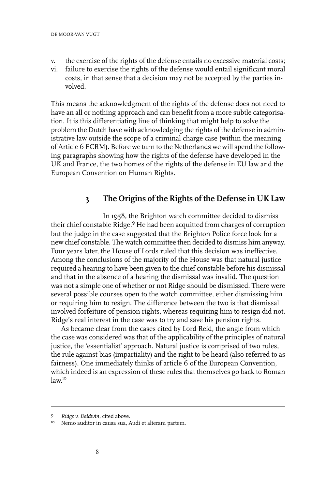- v. the exercise of the rights of the defense entails no excessive material costs;
- vi. failure to exercise the rights of the defense would entail significant moral costs, in that sense that a decision may not be accepted by the parties involved.

This means the acknowledgment of the rights of the defense does not need to have an all or nothing approach and can benefit from a more subtle categorisation. It is this differentiating line of thinking that might help to solve the problem the Dutch have with acknowledging the rights of the defense in administrative law outside the scope of a criminal charge case (within the meaning of Article 6 ECRM). Before we turn to the Netherlands we will spend the following paragraphs showing how the rights of the defense have developed in the UK and France, the two homes of the rights of the defense in EU law and the European Convention on Human Rights.

#### **3 The Origins of the Rights of the Defense in UK Law**

In 1958, the Brighton watch committee decided to dismiss their chief constable Ridge.<sup>9</sup> He had been acquitted from charges of corruption but the judge in the case suggested that the Brighton Police force look for a new chief constable. The watch committee then decided to dismiss him anyway. Four years later, the House of Lords ruled that this decision was ineffective. Among the conclusions of the majority of the House was that natural justice required a hearing to have been given to the chief constable before his dismissal and that in the absence of a hearing the dismissal was invalid. The question was not a simple one of whether or not Ridge should be dismissed. There were several possible courses open to the watch committee, either dismissing him or requiring him to resign. The difference between the two is that dismissal involved forfeiture of pension rights, whereas requiring him to resign did not. Ridge's real interest in the case was to try and save his pension rights.

As became clear from the cases cited by Lord Reid, the angle from which the case was considered was that of the applicability of the principles of natural justice, the 'essentialist' approach. Natural justice is comprised of two rules, the rule against bias (impartiality) and the right to be heard (also referred to as fairness). One immediately thinks of article 6 of the European Convention, which indeed is an expression of these rules that themselves go back to Roman law. 10

*Ridge v. Baldwin*, cited above. <sup>9</sup>

<sup>&</sup>lt;sup>10</sup> Nemo auditor in causa sua, Audi et alteram partem.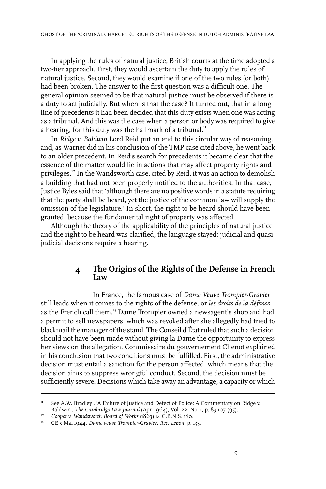In applying the rules of natural justice, British courts at the time adopted a two-tier approach. First, they would ascertain the duty to apply the rules of natural justice. Second, they would examine if one of the two rules (or both) had been broken. The answer to the first question was a difficult one. The general opinion seemed to be that natural justice must be observed if there is a duty to act judicially. But when is that the case? It turned out, that in a long line of precedents it had been decided that this duty exists when one was acting as a tribunal. And this was the case when a person or body was required to give a hearing, for this duty was the hallmark of a tribunal.<sup>11</sup>

In *Ridge v. Baldwin* Lord Reid put an end to this circular way of reasoning, and, as Warner did in his conclusion of the TMP case cited above, he went back to an older precedent. In Reid's search for precedents it became clear that the essence of the matter would lie in actions that may affect property rights and privileges.<sup>12</sup> In the Wandsworth case, cited by Reid, it was an action to demolish a building that had not been properly notified to the authorities. In that case, Justice Byles said that 'although there are no positive words in a statute requiring that the party shall be heard, yet the justice of the common law will supply the omission of the legislature.' In short, the right to be heard should have been granted, because the fundamental right of property was affected.

Although the theory of the applicability of the principles of natural justice and the right to be heard was clarified, the language stayed: judicial and quasijudicial decisions require a hearing.

## **4 The Origins of the Rights of the Defense in French Law**

In France, the famous case of *Dame Veuve Trompier-Gravier* still leads when it comes to the rights of the defense, or *les droits de la défense*, as the French call them.<sup>13</sup> Dame Trompier owned a newsagent's shop and had a permit to sell newspapers, which was revoked after she allegedly had tried to blackmail the manager of the stand. The Conseil d'Étatruled that such a decision should not have been made without giving la Dame the opportunity to express her views on the allegation. Commissaire du gouvernement Chenot explained in his conclusion that two conditions must be fulfilled. First, the administrative decision must entail a sanction for the person affected, which means that the decision aims to suppress wrongful conduct. Second, the decision must be sufficiently severe. Decisions which take away an advantage, a capacity or which

See A.W. Bradley , 'A Failure of Justice and Defect of Police: A Commentary on Ridge v. Baldwin', *The Cambridge Law Journal* (Apr. 1964), Vol. 22, No. 1, p. 83-107 (95). 11

<sup>&</sup>lt;sup>12</sup> Cooper *v. Wandsworth Board of Works* (1863) 14 C.B.N.S. 180.

CE 5 Mai 1944, *Dame veuve Trompier-Gravier*, *Rec. Lebon*, p. 133. <sup>13</sup>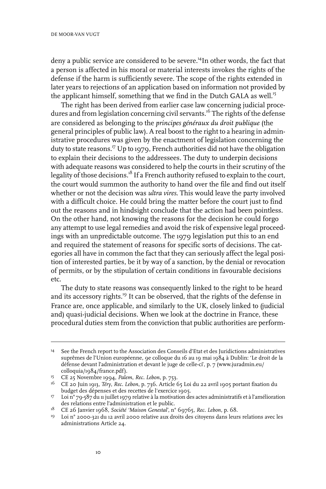deny a public service are considered to be severe.<sup>14</sup>In other words, the fact that a person is affected in his moral or material interests invokes the rights of the defense if the harm is sufficiently severe. The scope of the rights extended in later years to rejections of an application based on information not provided by the applicant himself, something that we find in the Dutch GALA as well.<sup>15</sup>

The right has been derived from earlier case law concerning judicial procedures and from legislation concerning civil servants.<sup>16</sup> The rights of the defense are considered as belonging to the *principes généraux du droit publique* (the general principles of public law). A real boost to the right to a hearing in administrative procedures was given by the enactment of legislation concerning the duty to state reasons.<sup>17</sup> Up to 1979, French authorities did not have the obligation to explain their decisions to the addressees. The duty to underpin decisions with adequate reasons was considered to help the courts in their scrutiny of the legality of those decisions.<sup>18</sup> If a French authority refused to explain to the court, the court would summon the authority to hand over the file and find out itself whether or not the decision was *ultra vires*. This would leave the party involved with a difficult choice. He could bring the matter before the court just to find out the reasons and in hindsight conclude that the action had been pointless. On the other hand, not knowing the reasons for the decision he could forgo any attempt to use legal remedies and avoid the risk of expensive legal proceedings with an unpredictable outcome. The 1979 legislation put this to an end and required the statement of reasons for specific sorts of decisions. The categories all have in common the fact that they can seriously affect the legal position of interested parties, be it by way of a sanction, by the denial or revocation of permits, or by the stipulation of certain conditions in favourable decisions etc.

The duty to state reasons was consequently linked to the right to be heard and its accessory rights.<sup>19</sup> It can be observed, that the rights of the defense in France are, once applicable, and similarly to the UK, closely linked to (judicial and) quasi-judicial decisions. When we look at the doctrine in France, these procedural duties stem from the conviction that public authorities are perform-

<sup>&</sup>lt;sup>14</sup> See the French report to the Association des Conseils d'Etat et des Juridictions administratives suprêmes de l'Union européenne, 9e colloque du 16 au 19 mai 1984 à Dublin: 'Le droit de la défense devant l'administration et devant le juge de celle-ci', p. 7 (www.juradmin.eu/ colloquia/1984/france.pdf).

CE 25 Novembre 1994, *Palem*, *Rec. Lebon*, p. 753. <sup>15</sup>

CE 20 Juin 1913, *Téry*, *Rec. Lebon*, p. 736. Article 65 Loi du 22 avril 1905 portant fixation du 16 budget des dépenses et des recettes de l'exercice 1905.

 $^{17}$  Loi n° 79-587 du 11 juillet 1979 relative à la motivation des actes administratifs et à l'amélioration des relations entre l'administration et le public.

<sup>&</sup>lt;sup>18</sup> CE 26 Janvier 1968, *Société 'Maison Genestal'*, n° 69765, *Rec. Lebon*, p. 68.

<sup>&</sup>lt;sup>19</sup> Loi n° 2000-321 du 12 avril 2000 relative aux droits des citoyens dans leurs relations avec les administrations Article 24.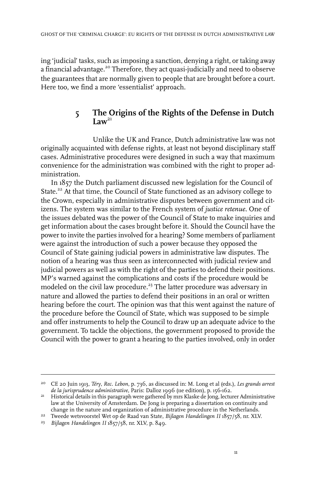ing 'judicial' tasks, such as imposing a sanction, denying a right, or taking away a financial advantage.<sup>20</sup> Therefore, they act quasi-judicially and need to observe the guarantees that are normally given to people that are brought before a court. Here too, we find a more 'essentialist' approach.

## **5 The Origins of the Rights of the Defense in Dutch**  $\mathbf{L}$ **Law**<sup>21</sup>

Unlike the UK and France, Dutch administrative law was not originally acquainted with defense rights, at least not beyond disciplinary staff cases. Administrative procedures were designed in such a way that maximum convenience for the administration was combined with the right to proper administration.

In 1857 the Dutch parliament discussed new legislation for the Council of State.<sup>22</sup> At that time, the Council of State functioned as an advisory college to the Crown, especially in administrative disputes between government and citizens. The system was similar to the French system of *justice retenue*. One of the issues debated was the power of the Council of State to make inquiries and get information about the cases brought before it. Should the Council have the power to invite the parties involved for a hearing? Some members of parliament were against the introduction of such a power because they opposed the Council of State gaining judicial powers in administrative law disputes. The notion of a hearing was thus seen as interconnected with judicial review and judicial powers as well as with the right of the parties to defend their positions. MP's warned against the complications and costs if the procedure would be modeled on the civil law procedure.<sup>23</sup> The latter procedure was adversary in nature and allowed the parties to defend their positions in an oral or written hearing before the court. The opinion was that this went against the nature of the procedure before the Council of State, which was supposed to be simple and offer instruments to help the Council to draw up an adequate advice to the government. To tackle the objections, the government proposed to provide the Council with the power to grant a hearing to the parties involved, only in order

CE 20 Juin 1913, *Téry*, *Rec. Lebon*, p. 736, as discussed in: M. Long et al (eds.), *Les grands arrest* 20 *de la jurisprudence administrative*, Paris: Dalloz 1996 (11e edition), p. 156-162.

<sup>&</sup>lt;sup>21</sup> Historical details in this paragraph were gathered by mrs Klaske de Jong, lecturer Administrative law at the University of Amsterdam. De Jong is preparing a dissertation on continuity and change in the nature and organization of administrative procedure in the Netherlands.

Tweede wetsvoorstel Wet op de Raad van State, *Bijlagen Handelingen II* 1857/58, nr. XLV. 22

*Bijlagen Handelingen II* 1857/58, nr. XLV, p. 849. <sup>23</sup>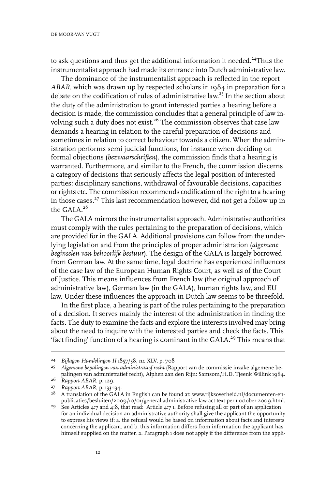to ask questions and thus get the additional information it needed.<sup>24</sup>Thus the instrumentalist approach had made its entrance into Dutch administrative law.

The dominance of the instrumentalist approach is reflected in the report *ABAR*, which was drawn up by respected scholars in 1984 in preparation for a debate on the codification of rules of administrative law. <sup>25</sup> In the section about the duty of the administration to grant interested parties a hearing before a decision is made, the commission concludes that a general principle of law involving such a duty does not exist.<sup>26</sup> The commission observes that case law demands a hearing in relation to the careful preparation of decisions and sometimes in relation to correct behaviour towards a citizen. When the administration performs semi judicial functions, for instance when deciding on formal objections (*bezwaarschriften*), the commission finds that a hearing is warranted. Furthermore, and similar to the French, the commission discerns a category of decisions that seriously affects the legal position of interested parties: disciplinary sanctions, withdrawal of favourable decisions, capacities or rights etc. The commission recommends codification of the right to a hearing in those cases.<sup>27</sup> This last recommendation however, did not get a follow up in the GALA.<sup>28</sup>

The GALA mirrors the instrumentalist approach. Administrative authorities must comply with the rules pertaining to the preparation of decisions, which are provided for in the GALA. Additional provisions can follow from the underlying legislation and from the principles of proper administration (*algemene beginselen van behoorlijk bestuur*). The design of the GALA is largely borrowed from German law. At the same time, legal doctrine has experienced influences of the case law of the European Human Rights Court, as well as of the Court of Justice. This means influences from French law (the original approach of administrative law), German law (in the GALA), human rights law, and EU law. Under these influences the approach in Dutch law seems to be threefold.

In the first place, a hearing is part of the rules pertaining to the preparation of a decision. It serves mainly the interest of the administration in finding the facts. The duty to examine the facts and explore the interests involved may bring about the need to inquire with the interested parties and check the facts. This 'fact finding' function of a hearing is dominant in the GALA.<sup>29</sup> This means that

*Bijlagen Handelingen II* 1857/58, nr. XLV, p. 708 <sup>24</sup>

*Algemene bepalingen van administratief recht* (Rapport van de commissie inzake algemene be-25 palingen van administratief recht), Alphen aan den Rijn: Samsom/H.D. Tjeenk Willink 1984.

<sup>&</sup>lt;sup>26</sup> Rapport *ABAR*, p. 129.

*Rapport ABAR*, p. 133-134. <sup>27</sup>

<sup>&</sup>lt;sup>28</sup> A translation of the GALA in English can be found at: www.rijksoverheid.nl/documenten-enpublicaties/besluiten/2009/10/01/general-administrative-law-act-text-per-1-october-2009.html.

<sup>&</sup>lt;sup>29</sup> See Articles 4:7 and 4:8, that read: Article 4:7 1. Before refusing all or part of an application for an individual decision an administrative authority shall give the applicant the opportunity to express his views if: a. the refusal would be based on information about facts and interests concerning the applicant, and b. this information differs from information the applicant has himself supplied on the matter. 2. Paragraph 1 does not apply if the difference from the appli-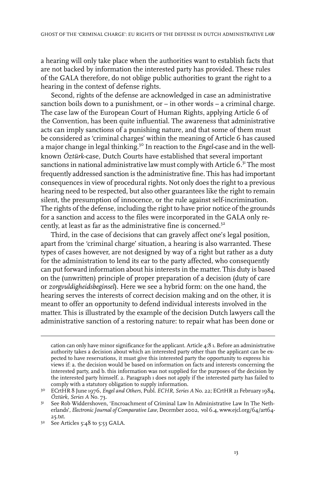a hearing will only take place when the authorities want to establish facts that are not backed by information the interested party has provided. These rules of the GALA therefore, do not oblige public authorities to grant the right to a hearing in the context of defense rights.

Second, rights of the defense are acknowledged in case an administrative sanction boils down to a punishment, or – in other words – a criminal charge. The case law of the European Court of Human Rights, applying Article 6 of the Convention, has been quite influential. The awareness that administrative acts can imply sanctions of a punishing nature, and that some of them must be considered as 'criminal charges' within the meaning of Article 6 has caused a major change in legal thinking.<sup>30</sup> In reaction to the *Engel*-case and in the wellknown *Öztürk*-case, Dutch Courts have established that several important sanctions in national administrative law must comply with Article 6.<sup>31</sup> The most frequently addressed sanction is the administrative fine. This has had important consequences in view of procedural rights. Not only does the right to a previous hearing need to be respected, but also other guarantees like the right to remain silent, the presumption of innocence, or the rule against self-incrimination. The rights of the defense, including the right to have prior notice of the grounds for a sanction and access to the files were incorporated in the GALA only recently, at least as far as the administrative fine is concerned.<sup>32</sup>

Third, in the case of decisions that can gravely affect one's legal position, apart from the 'criminal charge' situation, a hearing is also warranted. These types of cases however, are not designed by way of a right but rather as a duty for the administration to lend its ear to the party affected, who consequently can put forward information about his interests in the matter. This duty is based on the (unwritten) principle of proper preparation of a decision (duty of care or *zorgvuldigheidsbeginsel*). Here we see a hybrid form: on the one hand, the hearing serves the interests of correct decision making and on the other, it is meant to offer an opportunity to defend individual interests involved in the matter. This is illustrated by the example of the decision Dutch lawyers call the administrative sanction of a restoring nature: to repair what has been done or

cation can only have minor significance for the applicant. Article 4:8 1. Before an administrative authority takes a decision about which an interested party other than the applicant can be expected to have reservations, it must give this interested party the opportunity to express his views if: a. the decision would be based on information on facts and interests concerning the interested party, and b. this information was not supplied for the purposes of the decision by the interested party himself. 2. Paragraph 1 does not apply if the interested party has failed to comply with a statutory obligation to supply information.

ECrtHR 8 June 1976, *Engel and Others*, Publ. *ECHR, Series A* No. 22; ECrtHR 21 February 1984, 30 *Öztürk*, *Series A* No. 73.

<sup>&</sup>lt;sup>31</sup> See Rob Widdershoven, 'Encroachment of Criminal Law In Administrative Law In The Netherlands', *ElectronicJournal of Comparative Law*, December 2002, vol 6.4, www.ejcl.org/64/art64- 25.txt.

 $3<sup>2</sup>$  See Articles 5:48 to 5:53 GALA.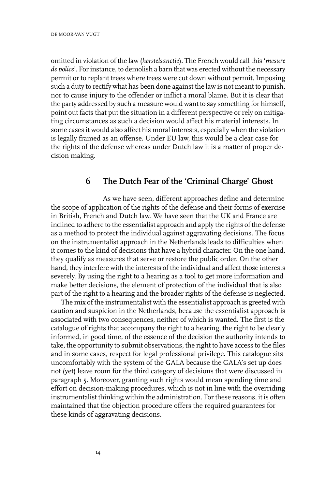omitted in violation of the law (*herstelsanctie*). The French would call this '*mesure* de *police*'. For instance, to demolish a barn that was erected without the necessary permit or to replant trees where trees were cut down without permit. Imposing such a duty to rectify what has been done against the law is not meant to punish, nor to cause injury to the offender or inflict a moral blame. But it is clear that the party addressed by such a measure would want to say something for himself, point out facts that put the situation in a different perspective or rely on mitigating circumstances as such a decision would affect his material interests. In some cases it would also affect his moral interests, especially when the violation is legally framed as an offense. Under EU law, this would be a clear case for the rights of the defense whereas under Dutch law it is a matter of proper decision making.

#### **6 The Dutch Fear of the 'Criminal Charge' Ghost**

As we have seen, different approaches define and determine the scope of application of the rights of the defense and their forms of exercise in British, French and Dutch law. We have seen that the UK and France are inclined to adhere to the essentialist approach and apply the rights of the defense as a method to protect the individual against aggravating decisions. The focus on the instrumentalist approach in the Netherlands leads to difficulties when it comes to the kind of decisions that have a hybrid character. On the one hand, they qualify as measures that serve or restore the public order. On the other hand, they interfere with the interests of the individual and affect those interests severely. By using the right to a hearing as a tool to get more information and make better decisions, the element of protection of the individual that is also part of the right to a hearing and the broader rights of the defense is neglected.

The mix of the instrumentalist with the essentialist approach is greeted with caution and suspicion in the Netherlands, because the essentialist approach is associated with two consequences, neither of which is wanted. The first is the catalogue of rights that accompany the right to a hearing, the right to be clearly informed, in good time, of the essence of the decision the authority intends to take, the opportunity to submit observations, the right to have access to the files and in some cases, respect for legal professional privilege. This catalogue sits uncomfortably with the system of the GALA because the GALA's set up does not (yet) leave room for the third category of decisions that were discussed in paragraph 5. Moreover, granting such rights would mean spending time and effort on decision-making procedures, which is not in line with the overriding instrumentalist thinking within the administration. For these reasons, it is often maintained that the objection procedure offers the required guarantees for these kinds of aggravating decisions.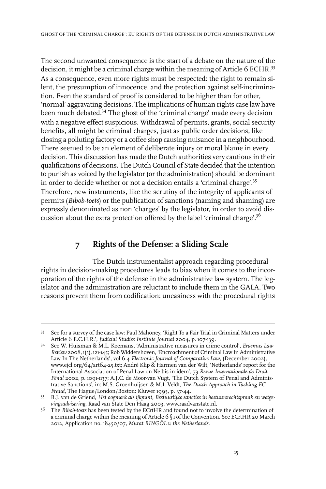The second unwanted consequence is the start of a debate on the nature of the decision, it might be a criminal charge within the meaning of Article 6 ECHR.<sup>33</sup> As a consequence, even more rights must be respected: the right to remain silent, the presumption of innocence, and the protection against self-incrimination. Even the standard of proof is considered to be higher than for other, 'normal' aggravating decisions. The implications of human rights case law have been much debated.<sup>34</sup> The ghost of the 'criminal charge' made every decision with a negative effect suspicious. Withdrawal of permits, grants, social security benefits, all might be criminal charges, just as public order decisions, like closing a polluting factory or a coffee shop causing nuisance in a neighbourhood. There seemed to be an element of deliberate injury or moral blame in every decision. This discussion has made the Dutch authorities very cautious in their qualifications of decisions. The Dutch Council of State decided that the intention to punish as voiced by the legislator (or the administration) should be dominant in order to decide whether or not a decision entails a 'criminal charge'.<sup>35</sup> Therefore, new instruments, like the scrutiny of the integrity of applicants of permits (*Bibob-toets*) or the publication of sanctions (naming and shaming) are expressly denominated as non 'charges' by the legislator, in order to avoid discussion about the extra protection offered by the label 'criminal charge'.<sup>36</sup>

# **7 Rights of the Defense: a Sliding Scale**

The Dutch instrumentalist approach regarding procedural rights in decision-making procedures leads to bias when it comes to the incorporation of the rights of the defense in the administrative law system. The legislator and the administration are reluctant to include them in the GALA. Two reasons prevent them from codification: uneasiness with the procedural rights

<sup>33</sup> See for a survey of the case law: Paul Mahoney, 'Right To a Fair Trial in Criminal Matters under Article 6 E.C.H.R.', *Judicial Studies Institute Journal* 2004, p. 107-139.

See W. Huisman & M.L. Koemans, 'Administrative measures in crime control', *Erasmus Law* 34 *Review* 2008, 1(5), 121-145; Rob Widdershoven, 'Encroachment of Criminal Law In Administrative Law In The Netherlands', vol 6.4 *Electronic Journal of Comparative Law*, (December 2002), www.ejcl.org/64/art64-25.txt; André Klip & Harmen van der Wilt, 'Netherlands' report for the International Association of Penal Law on Ne bis in idem', 73 *Revue Internationale de Droit Pénal* 2002, p. 1091-1137; A.J.C. de Moor-van Vugt, 'The Dutch System of Penal and Administrative Sanctions', in: M.S. Groenhuijsen & M.I. Veldt, *The Dutch Approach in Tackling EC Fraud*, The Hague/London/Boston: Kluwer 1995, p. 37-44.

B.J. van de Griend, *Het oogmerk als ijkpunt, Bestuurlijke sancties in bestuursrechtspraak en wetge-*35 *vingsadvisering*, Raad van State Den Haag 2003, www.raadvanstate.nl.

The *Bibob-toets* has been tested by the ECrtHR and found not to involve the determination of 36 a criminal charge within the meaning of Article 6 § 1 of the Convention. See ECrtHR 20 March 2012, Application no. 18450/07, *Murat BINGÖL v. the Netherlands*.